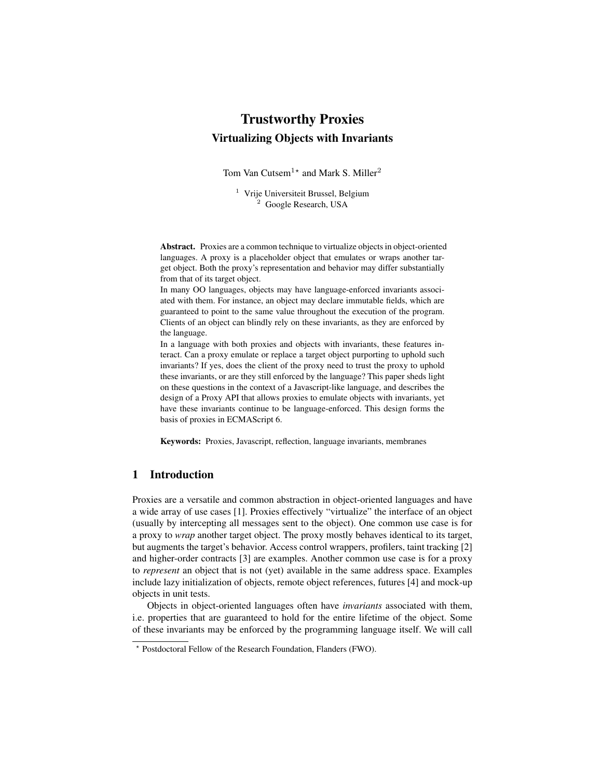# Trustworthy Proxies Virtualizing Objects with Invariants

Tom Van Cutsem<sup>1</sup><sup>\*</sup> and Mark S. Miller<sup>2</sup>

<sup>1</sup> Vrije Universiteit Brussel, Belgium <sup>2</sup> Google Research, USA

Abstract. Proxies are a common technique to virtualize objects in object-oriented languages. A proxy is a placeholder object that emulates or wraps another target object. Both the proxy's representation and behavior may differ substantially from that of its target object.

In many OO languages, objects may have language-enforced invariants associated with them. For instance, an object may declare immutable fields, which are guaranteed to point to the same value throughout the execution of the program. Clients of an object can blindly rely on these invariants, as they are enforced by the language.

In a language with both proxies and objects with invariants, these features interact. Can a proxy emulate or replace a target object purporting to uphold such invariants? If yes, does the client of the proxy need to trust the proxy to uphold these invariants, or are they still enforced by the language? This paper sheds light on these questions in the context of a Javascript-like language, and describes the design of a Proxy API that allows proxies to emulate objects with invariants, yet have these invariants continue to be language-enforced. This design forms the basis of proxies in ECMAScript 6.

Keywords: Proxies, Javascript, reflection, language invariants, membranes

#### 1 Introduction

Proxies are a versatile and common abstraction in object-oriented languages and have a wide array of use cases [1]. Proxies effectively "virtualize" the interface of an object (usually by intercepting all messages sent to the object). One common use case is for a proxy to *wrap* another target object. The proxy mostly behaves identical to its target, but augments the target's behavior. Access control wrappers, profilers, taint tracking [2] and higher-order contracts [3] are examples. Another common use case is for a proxy to *represent* an object that is not (yet) available in the same address space. Examples include lazy initialization of objects, remote object references, futures [4] and mock-up objects in unit tests.

Objects in object-oriented languages often have *invariants* associated with them, i.e. properties that are guaranteed to hold for the entire lifetime of the object. Some of these invariants may be enforced by the programming language itself. We will call

<sup>?</sup> Postdoctoral Fellow of the Research Foundation, Flanders (FWO).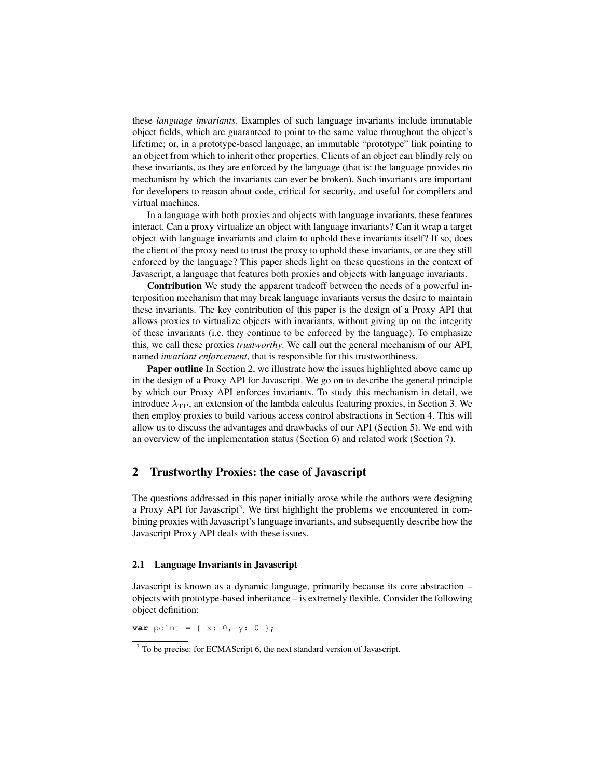these *language invariants*. Examples of such language invariants include immutable object fields, which are guaranteed to point to the same value throughout the object's lifetime; or, in a prototype-based language, an immutable "prototype" link pointing to an object from which to inherit other properties. Clients of an object can blindly rely on these invariants, as they are enforced by the language (that is: the language provides no mechanism by which the invariants can ever be broken). Such invariants are important for developers to reason about code, critical for security, and useful for compilers and virtual machines.

In a language with both proxies and objects with language invariants, these features interact. Can a proxy virtualize an object with language invariants? Can it wrap a target object with language invariants and claim to uphold these invariants itself? If so, does the client of the proxy need to trust the proxy to uphold these invariants, or are they still enforced by the language? This paper sheds light on these questions in the context of Javascript, a language that features both proxies and objects with language invariants.

Contribution We study the apparent tradeoff between the needs of a powerful interposition mechanism that may break language invariants versus the desire to maintain these invariants. The key contribution of this paper is the design of a Proxy API that allows proxies to virtualize objects with invariants, without giving up on the integrity of these invariants (i.e. they continue to be enforced by the language). To emphasize this, we call these proxies *trustworthy*. We call out the general mechanism of our API, named *invariant enforcement*, that is responsible for this trustworthiness.

Paper outline In Section 2, we illustrate how the issues highlighted above came up in the design of a Proxy API for Javascript. We go on to describe the general principle by which our Proxy API enforces invariants. To study this mechanism in detail, we introduce  $\lambda_{\text{TP}}$ , an extension of the lambda calculus featuring proxies, in Section 3. We then employ proxies to build various access control abstractions in Section 4. This will allow us to discuss the advantages and drawbacks of our API (Section 5). We end with an overview of the implementation status (Section 6) and related work (Section 7).

## 2 Trustworthy Proxies: the case of Javascript

The questions addressed in this paper initially arose while the authors were designing a Proxy API for Javascript<sup>3</sup>. We first highlight the problems we encountered in combining proxies with Javascript's language invariants, and subsequently describe how the Javascript Proxy API deals with these issues.

#### 2.1 Language Invariants in Javascript

Javascript is known as a dynamic language, primarily because its core abstraction – objects with prototype-based inheritance – is extremely flexible. Consider the following object definition:

**var** point = { x:  $0$ , y:  $0$  };

<sup>&</sup>lt;sup>3</sup> To be precise: for ECMAScript 6, the next standard version of Javascript.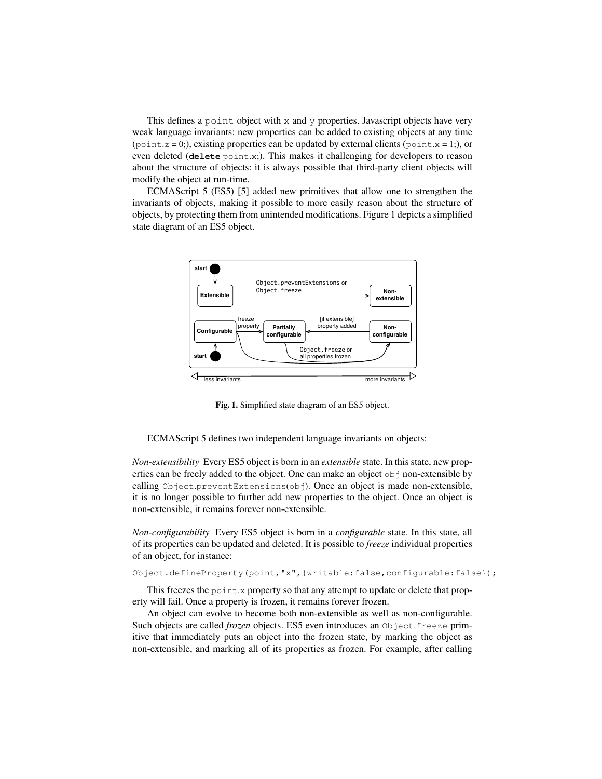This defines a point object with  $x$  and  $y$  properties. Javascript objects have very weak language invariants: new properties can be added to existing objects at any time (point.z = 0;), existing properties can be updated by external clients (point.x = 1;), or even deleted (**delete** point.x;). This makes it challenging for developers to reason about the structure of objects: it is always possible that third-party client objects will modify the object at run-time.

ECMAScript 5 (ES5) [5] added new primitives that allow one to strengthen the invariants of objects, making it possible to more easily reason about the structure of objects, by protecting them from unintended modifications. Figure 1 depicts a simplified state diagram of an ES5 object.



Fig. 1. Simplified state diagram of an ES5 object.

ECMAScript 5 defines two independent language invariants on objects:

*Non-extensibility* Every ES5 object is born in an *extensible* state. In this state, new properties can be freely added to the object. One can make an object  $\phi$  i non-extensible by calling Object.preventExtensions(obj). Once an object is made non-extensible, it is no longer possible to further add new properties to the object. Once an object is non-extensible, it remains forever non-extensible.

*Non-configurability* Every ES5 object is born in a *configurable* state. In this state, all of its properties can be updated and deleted. It is possible to *freeze* individual properties of an object, for instance:

```
Object.defineProperty(point,"x",{writable:false,configurable:false});
```
This freezes the point.x property so that any attempt to update or delete that property will fail. Once a property is frozen, it remains forever frozen.

An object can evolve to become both non-extensible as well as non-configurable. Such objects are called *frozen* objects. ES5 even introduces an Object.freeze primitive that immediately puts an object into the frozen state, by marking the object as non-extensible, and marking all of its properties as frozen. For example, after calling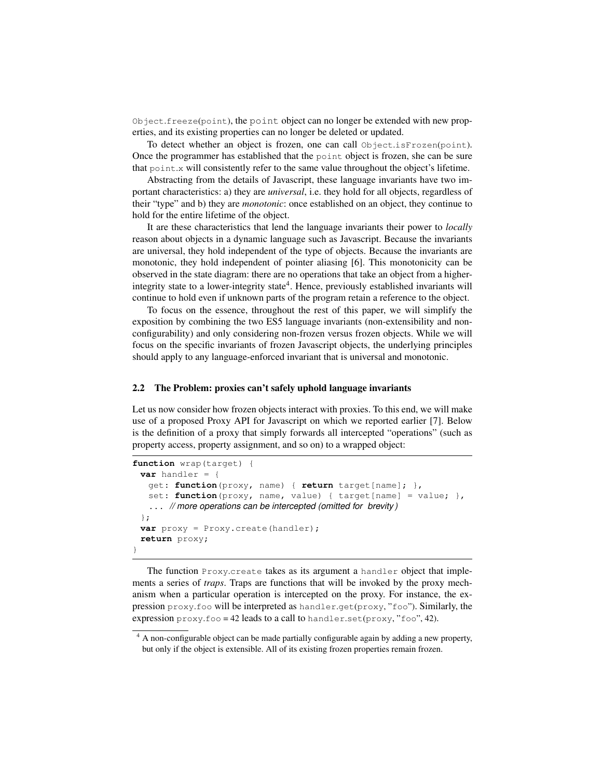Object.freeze(point), the point object can no longer be extended with new properties, and its existing properties can no longer be deleted or updated.

To detect whether an object is frozen, one can call Object.isFrozen(point). Once the programmer has established that the point object is frozen, she can be sure that point.x will consistently refer to the same value throughout the object's lifetime.

Abstracting from the details of Javascript, these language invariants have two important characteristics: a) they are *universal*, i.e. they hold for all objects, regardless of their "type" and b) they are *monotonic*: once established on an object, they continue to hold for the entire lifetime of the object.

It are these characteristics that lend the language invariants their power to *locally* reason about objects in a dynamic language such as Javascript. Because the invariants are universal, they hold independent of the type of objects. Because the invariants are monotonic, they hold independent of pointer aliasing [6]. This monotonicity can be observed in the state diagram: there are no operations that take an object from a higherintegrity state to a lower-integrity state<sup>4</sup>. Hence, previously established invariants will continue to hold even if unknown parts of the program retain a reference to the object.

To focus on the essence, throughout the rest of this paper, we will simplify the exposition by combining the two ES5 language invariants (non-extensibility and nonconfigurability) and only considering non-frozen versus frozen objects. While we will focus on the specific invariants of frozen Javascript objects, the underlying principles should apply to any language-enforced invariant that is universal and monotonic.

#### 2.2 The Problem: proxies can't safely uphold language invariants

Let us now consider how frozen objects interact with proxies. To this end, we will make use of a proposed Proxy API for Javascript on which we reported earlier [7]. Below is the definition of a proxy that simply forwards all intercepted "operations" (such as property access, property assignment, and so on) to a wrapped object:

```
function wrap(target) {
 var handler = {
   get: function(proxy, name) { return target[name]; },
   set: function(proxy, name, value) { target[name] = value; },
   ... // more operations can be intercepted (omitted for brevity )
 };
 var proxy = Proxy.create(handler) ;
 return proxy;
}
```
The function Proxy.create takes as its argument a handler object that implements a series of *traps*. Traps are functions that will be invoked by the proxy mechanism when a particular operation is intercepted on the proxy. For instance, the expression proxy.foo will be interpreted as handler.get(proxy, "foo"). Similarly, the expression proxy.foo = 42 leads to a call to handler.set( $prox$ ,"foo", 42).

<sup>&</sup>lt;sup>4</sup> A non-configurable object can be made partially configurable again by adding a new property, but only if the object is extensible. All of its existing frozen properties remain frozen.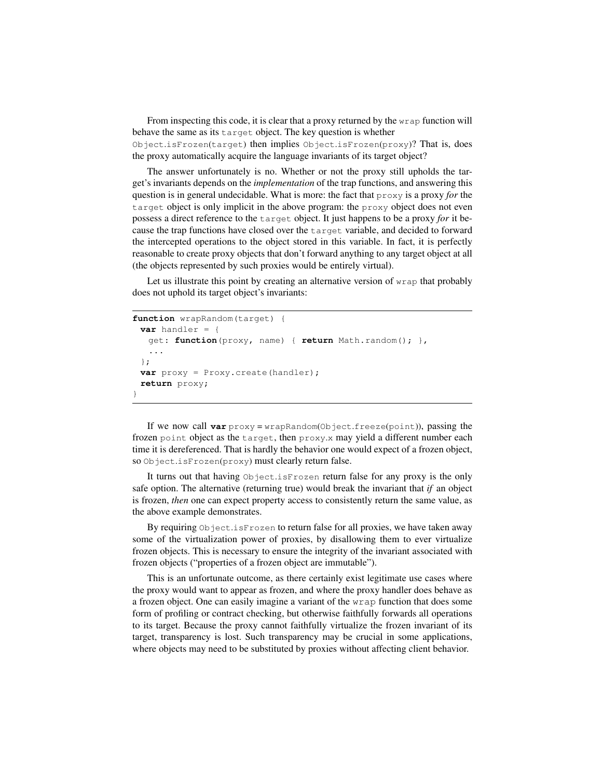From inspecting this code, it is clear that a proxy returned by the wrap function will behave the same as its target object. The key question is whether

Object.isFrozen(target) then implies Object.isFrozen(proxy)? That is, does the proxy automatically acquire the language invariants of its target object?

The answer unfortunately is no. Whether or not the proxy still upholds the target's invariants depends on the *implementation* of the trap functions, and answering this question is in general undecidable. What is more: the fact that proxy is a proxy *for* the target object is only implicit in the above program: the proxy object does not even possess a direct reference to the target object. It just happens to be a proxy *for* it because the trap functions have closed over the target variable, and decided to forward the intercepted operations to the object stored in this variable. In fact, it is perfectly reasonable to create proxy objects that don't forward anything to any target object at all (the objects represented by such proxies would be entirely virtual).

Let us illustrate this point by creating an alternative version of wrap that probably does not uphold its target object's invariants:

```
function wrapRandom(target) {
 var handler = {
   get: function(proxy, name) { return Math.random(); },
   ...
 };
 var proxy = Proxy.create(handler);
 return proxy;
}
```
If we now call **var** proxy = wrapRandom(Object.freeze(point)), passing the frozen point object as the target, then proxy.x may yield a different number each time it is dereferenced. That is hardly the behavior one would expect of a frozen object, so Object.isFrozen(proxy) must clearly return false.

It turns out that having Object.isFrozen return false for any proxy is the only safe option. The alternative (returning true) would break the invariant that *if* an object is frozen, *then* one can expect property access to consistently return the same value, as the above example demonstrates.

By requiring Object.isFrozen to return false for all proxies, we have taken away some of the virtualization power of proxies, by disallowing them to ever virtualize frozen objects. This is necessary to ensure the integrity of the invariant associated with frozen objects ("properties of a frozen object are immutable").

This is an unfortunate outcome, as there certainly exist legitimate use cases where the proxy would want to appear as frozen, and where the proxy handler does behave as a frozen object. One can easily imagine a variant of the wrap function that does some form of profiling or contract checking, but otherwise faithfully forwards all operations to its target. Because the proxy cannot faithfully virtualize the frozen invariant of its target, transparency is lost. Such transparency may be crucial in some applications, where objects may need to be substituted by proxies without affecting client behavior.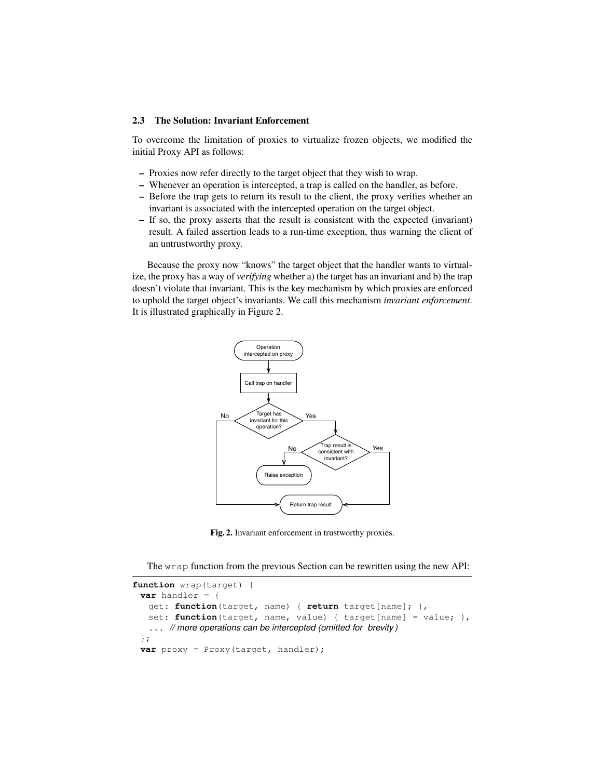#### 2.3 The Solution: Invariant Enforcement

To overcome the limitation of proxies to virtualize frozen objects, we modified the initial Proxy API as follows:

- Proxies now refer directly to the target object that they wish to wrap.
- Whenever an operation is intercepted, a trap is called on the handler, as before.
- Before the trap gets to return its result to the client, the proxy verifies whether an invariant is associated with the intercepted operation on the target object.
- If so, the proxy asserts that the result is consistent with the expected (invariant) result. A failed assertion leads to a run-time exception, thus warning the client of an untrustworthy proxy.

Because the proxy now "knows" the target object that the handler wants to virtualize, the proxy has a way of *verifying* whether a) the target has an invariant and b) the trap doesn't violate that invariant. This is the key mechanism by which proxies are enforced to uphold the target object's invariants. We call this mechanism *invariant enforcement*. It is illustrated graphically in Figure 2.



Fig. 2. Invariant enforcement in trustworthy proxies.

The wrap function from the previous Section can be rewritten using the new API:

```
function wrap(target) {
 var handler = {
   get: function(target, name) { return target[name]; },
   set: function(target, name, value) { target[name] = value; },
   ... // more operations can be intercepted (omitted for brevity )
 };
 var proxy = Proxy(target, handler);
```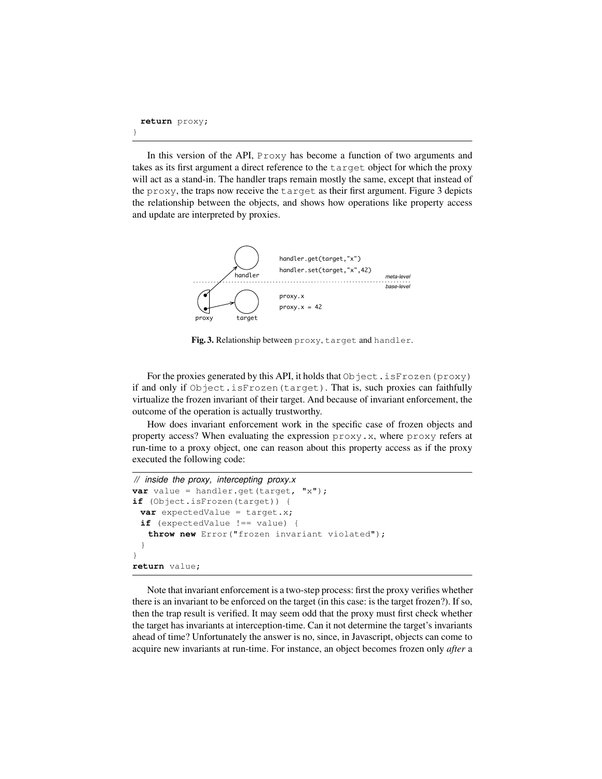**return** proxy;

}

In this version of the API, Proxy has become a function of two arguments and takes as its first argument a direct reference to the target object for which the proxy will act as a stand-in. The handler traps remain mostly the same, except that instead of the proxy, the traps now receive the target as their first argument. Figure 3 depicts the relationship between the objects, and shows how operations like property access and update are interpreted by proxies.



Fig. 3. Relationship between proxy, target and handler.

For the proxies generated by this API, it holds that  $Object$ , is Frozen (proxy) if and only if Object.isFrozen(target). That is, such proxies can faithfully virtualize the frozen invariant of their target. And because of invariant enforcement, the outcome of the operation is actually trustworthy.

How does invariant enforcement work in the specific case of frozen objects and property access? When evaluating the expression  $p_{\text{TOXV}}$ , where  $p_{\text{TOXV}}$  refers at run-time to a proxy object, one can reason about this property access as if the proxy executed the following code:

```
// inside the proxy, intercepting proxy.x
var value = handler.get(target, "x");
if (Object.isFrozen(target)) {
 var expectedValue = target.x;
 if (expectedValue !== value) {
   throw new Error("frozen invariant violated");
 }
}
return value;
```
Note that invariant enforcement is a two-step process: first the proxy verifies whether there is an invariant to be enforced on the target (in this case: is the target frozen?). If so, then the trap result is verified. It may seem odd that the proxy must first check whether the target has invariants at interception-time. Can it not determine the target's invariants ahead of time? Unfortunately the answer is no, since, in Javascript, objects can come to acquire new invariants at run-time. For instance, an object becomes frozen only *after* a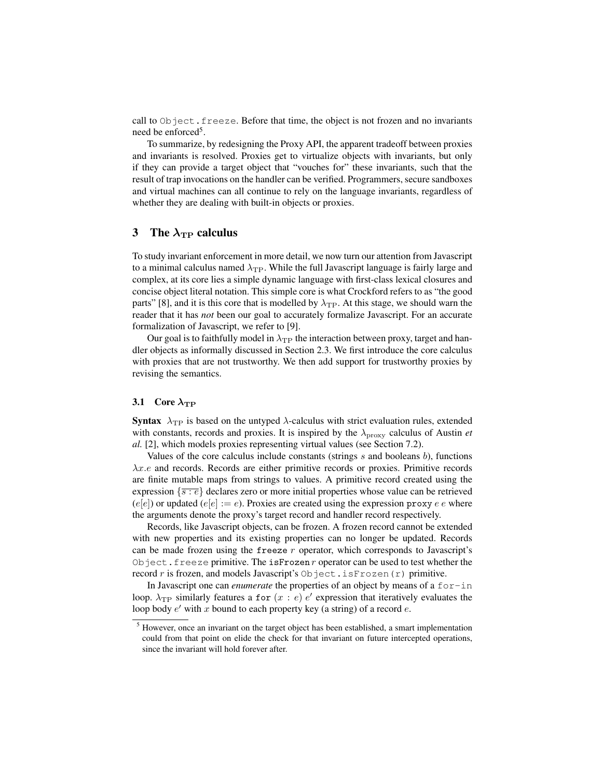call to  $Ob$  ject. freeze. Before that time, the object is not frozen and no invariants need be enforced<sup>5</sup>.

To summarize, by redesigning the Proxy API, the apparent tradeoff between proxies and invariants is resolved. Proxies get to virtualize objects with invariants, but only if they can provide a target object that "vouches for" these invariants, such that the result of trap invocations on the handler can be verified. Programmers, secure sandboxes and virtual machines can all continue to rely on the language invariants, regardless of whether they are dealing with built-in objects or proxies.

## 3 The  $\lambda_{\text{TP}}$  calculus

To study invariant enforcement in more detail, we now turn our attention from Javascript to a minimal calculus named  $\lambda_{\text{TP}}$ . While the full Javascript language is fairly large and complex, at its core lies a simple dynamic language with first-class lexical closures and concise object literal notation. This simple core is what Crockford refers to as "the good parts" [8], and it is this core that is modelled by  $\lambda_{\text{TP}}$ . At this stage, we should warn the reader that it has *not* been our goal to accurately formalize Javascript. For an accurate formalization of Javascript, we refer to [9].

Our goal is to faithfully model in  $\lambda_{\text{TP}}$  the interaction between proxy, target and handler objects as informally discussed in Section 2.3. We first introduce the core calculus with proxies that are not trustworthy. We then add support for trustworthy proxies by revising the semantics.

#### 3.1 Core  $\lambda_{\text{TP}}$

**Syntax**  $\lambda_{\text{TP}}$  is based on the untyped  $\lambda$ -calculus with strict evaluation rules, extended with constants, records and proxies. It is inspired by the  $\lambda_{\text{proxy}}$  calculus of Austin *et al.* [2], which models proxies representing virtual values (see Section 7.2).

Values of the core calculus include constants (strings  $s$  and booleans  $b$ ), functions  $\lambda x.e.$  and records. Records are either primitive records or proxies. Primitive records are finite mutable maps from strings to values. A primitive record created using the expression  $\{\overline{s : e}\}$  declares zero or more initial properties whose value can be retrieved  $(e[e])$  or updated  $(e[e] := e)$ . Proxies are created using the expression proxy e e where the arguments denote the proxy's target record and handler record respectively.

Records, like Javascript objects, can be frozen. A frozen record cannot be extended with new properties and its existing properties can no longer be updated. Records can be made frozen using the freeze  $r$  operator, which corresponds to Javascript's Object. freeze primitive. The isFrozen  $r$  operator can be used to test whether the record  $r$  is frozen, and models Javascript's Object.isFrozen(r) primitive.

In Javascript one can *enumerate* the properties of an object by means of a for-in loop.  $\lambda_{\text{TP}}$  similarly features a for  $(x : e)$  e' expression that iteratively evaluates the loop body  $e'$  with x bound to each property key (a string) of a record  $e$ .

<sup>&</sup>lt;sup>5</sup> However, once an invariant on the target object has been established, a smart implementation could from that point on elide the check for that invariant on future intercepted operations, since the invariant will hold forever after.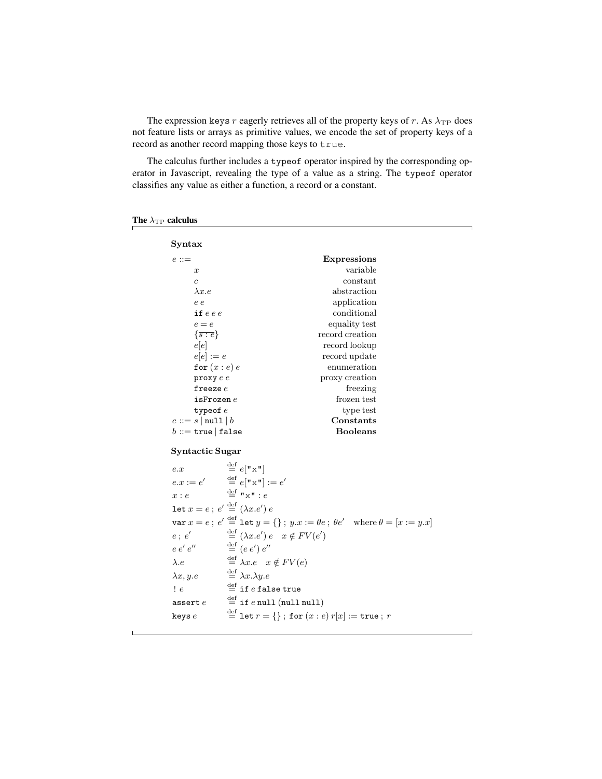The expression keys r eagerly retrieves all of the property keys of r. As  $\lambda_{\rm TP}$  does not feature lists or arrays as primitive values, we encode the set of property keys of a record as another record mapping those keys to true.

The calculus further includes a typeof operator inspired by the corresponding operator in Javascript, revealing the type of a value as a string. The typeof operator classifies any value as either a function, a record or a constant.

# The  $\lambda_{\mathrm{TP}}$  calculus

| Syntax                                                         |                                                                                                                                  |  |
|----------------------------------------------------------------|----------------------------------------------------------------------------------------------------------------------------------|--|
| $e ::=$                                                        | <b>Expressions</b>                                                                                                               |  |
| $\boldsymbol{x}$                                               | variable                                                                                                                         |  |
| $\boldsymbol{c}$                                               | constant                                                                                                                         |  |
| $\lambda x.e$                                                  | abstraction                                                                                                                      |  |
| e e                                                            | application                                                                                                                      |  |
| if ee                                                          | conditional                                                                                                                      |  |
| $e = e$                                                        | equality test                                                                                                                    |  |
| $\{\overline{s:e}\}\$                                          | record creation                                                                                                                  |  |
| e[e]<br>$e[e] := e$                                            | record lookup                                                                                                                    |  |
| for $(x : e) e$                                                | record update<br>enumeration                                                                                                     |  |
| $\mathbf{prox}$ y e e                                          | proxy creation                                                                                                                   |  |
| freeze $e$                                                     | freezing                                                                                                                         |  |
| ${\tt isFrozen}\,e$                                            | frozen test                                                                                                                      |  |
| typeof $e$                                                     | type test                                                                                                                        |  |
| $c ::= s   \text{null}   b$                                    | Constants                                                                                                                        |  |
| $b ::= \texttt{true} \,   \, \texttt{false}$                   | <b>Booleans</b>                                                                                                                  |  |
| <b>Syntactic Sugar</b>                                         |                                                                                                                                  |  |
| e.x                                                            | $\stackrel{\text{def}}{=} e[$ "x"]                                                                                               |  |
|                                                                | $e.x := e'$ $\stackrel{\text{def}}{=} e[\mathbf{u} \times \mathbf{v}] := e'$                                                     |  |
| x : e                                                          | $\stackrel{\text{def}}{=}$ "x" : e                                                                                               |  |
| let $x = e$ ; $e' \stackrel{\text{def}}{=} (\lambda x . e') e$ |                                                                                                                                  |  |
|                                                                | var $x = e$ ; $e' \stackrel{\text{def}}{=} \texttt{let } y = \{\}$ ; $y.x := \theta e$ ; $\theta e'$ where $\theta = [x := y.x]$ |  |
| $e\,;\,e'$                                                     | $\stackrel{\text{def}}{=} (\lambda x.e') e \quad x \notin FV(e')$                                                                |  |
| e e' e''                                                       | $\stackrel{\text{def}}{=}$ (e e') e''                                                                                            |  |
| $\lambda.e$                                                    | $\stackrel{\text{def}}{=} \lambda x.e \quad x \notin FV(e)$                                                                      |  |
| $\lambda x, y.e$                                               | $\stackrel{\text{def}}{=} \lambda x.\lambda y.e$                                                                                 |  |
| $\mathop{!} e$                                                 | $\stackrel{\text{def}}{=}$ if e false true                                                                                       |  |
| assert $e$                                                     | $\stackrel{\rm def}{=}$ if $e$ null (null null)                                                                                  |  |
| $keys$ e                                                       | $\stackrel{\text{def}}{=}$ let $r = \{\}$ ; for $(x : e) r[x] :=$ true; $r$                                                      |  |
|                                                                |                                                                                                                                  |  |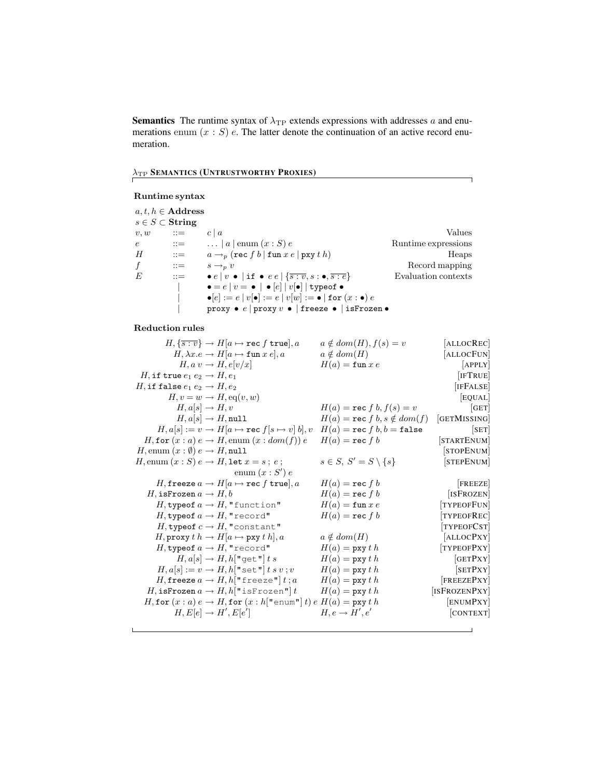**Semantics** The runtime syntax of  $\lambda_{TP}$  extends expressions with addresses a and enumerations enum  $(x : S)$  e. The latter denote the continuation of an active record enumeration.

 $\overline{\phantom{0}}$ 

 $\overline{\phantom{0}}$ 

 $\lambda_{\text{TP}}$  SEMANTICS (UNTRUSTWORTHY PROXIES)

## Runtime syntax

| $a, t, h \in \textbf{Address}$ |                 |                                                                                              |                     |
|--------------------------------|-----------------|----------------------------------------------------------------------------------------------|---------------------|
| $s \in S \subset$ String       |                 |                                                                                              |                     |
| v, w                           | $\cdots$        | $c \mid a$                                                                                   | Values              |
| $\epsilon$                     | $\therefore =$  | $\ldots  a $ enum $(x : S) e$                                                                | Runtime expressions |
| H                              | $\mathbf{::} =$ | $a \rightarrow p$ (rec f b   fun x e   pxy t h)                                              | Heaps               |
| $\boldsymbol{f}$               | $\mathbf{H} :=$ | $s \rightarrow_{n} v$                                                                        | Record mapping      |
| E                              | $::=$           | $\bullet e v \bullet $ if $\bullet ee \{\overline{s:v},s:\bullet,\overline{s:e}\}$           | Evaluation contexts |
|                                |                 | $\bullet = e   v = \bullet   \bullet [e]   v [\bullet]  $ typeof $\bullet$                   |                     |
|                                |                 | $\bullet[e] := e \mid v[\bullet] := e \mid v[w] := \bullet \mid \text{for } (x : \bullet) e$ |                     |
|                                |                 | proxy • $e  $ proxy $v \bullet  $ freeze •   isFrozen •                                      |                     |

## Reduction rules

| $H, \{ \overline{s:v} \} \rightarrow H[a \mapsto \verb"rec" f \verb" true", a$                           | $a \notin dom(H), f(s) = v$               | ALLOCREC          |
|----------------------------------------------------------------------------------------------------------|-------------------------------------------|-------------------|
| $H, \lambda x.e \rightarrow H[a \mapsto \texttt{fun} \ x \ e], a$                                        | $a \notin dom(H)$                         | [ALLOCFUN]        |
| $H, a v \rightarrow H, e[v/x]$                                                                           | $H(a) = \texttt{fun} x e$                 | [APPLY]           |
| <i>H</i> , if true $e_1 e_2 \rightarrow H, e_1$                                                          |                                           | [IFTRUE]          |
| <i>H</i> , if false $e_1 e_2 \rightarrow H, e_2$                                                         |                                           | [IFFALSE]         |
| $H, v = w \rightarrow H, \text{eq}(v, w)$                                                                |                                           | EQUAL             |
| $H, a[s] \rightarrow H, v$                                                                               | $H(a)$ = rec $f b, f(s) = v$              | [GET]             |
| $H, a[s] \rightarrow H, \texttt{null}$                                                                   | $H(a) = \text{rec } f b, s \notin dom(f)$ | <b>GETMISSING</b> |
| $H, a[s] := v \rightarrow H[a \mapsto \texttt{rec} f[s \mapsto v] b], v$                                 | $H(a)$ = rec f b, b = false               | [SET]             |
| <i>H</i> , for $(x : a) e \rightarrow H$ , enum $(x : dom(f)) e$                                         | $H(a) = \text{rec } f b$                  | [STARTENUM]       |
| H, enum $(x:\emptyset)$ $e \rightarrow H$ , null                                                         |                                           | [STOPENUM]        |
| H, enum $(x : S) e \rightarrow H$ , let $x = s$ ; e;                                                     | $s \in S, S' = S \setminus \{s\}$         | [STEPENUM]        |
| enum $(x : S')$ e                                                                                        |                                           |                   |
| H, freeze $a \to H[a \mapsto \verb"rec"\,f\,\verb"true",a$                                               | $H(a)$ = rec f b                          | <b>FREEZE</b>     |
| <i>H</i> , is Frozen $a \rightarrow H, b$                                                                | $H(a)$ = rec f b                          | [ISFROZEN]        |
| H, typeof $a \rightarrow H$ , "function"                                                                 | $H(a) = \texttt{fun} x e$                 | <b>TYPEOFFUN</b>  |
| <i>H</i> , typeof $a \rightarrow H$ , "record"                                                           | $H(a)$ = rec f b                          | [TYPEOFREC]       |
| H, typeof $c \to H$ , "constant"                                                                         |                                           | [TYPEOFCST]       |
| <i>H</i> , proxy $t h \to H[a \mapsto pxy t h], a$                                                       | $a \notin dom(H)$                         | [ALLOCPXY]        |
| <i>H</i> , typeof $a \rightarrow H$ , "record"                                                           | $H(a) = \text{pxy } t h$                  | [TYPEOFPXY]       |
| $H, a[s] \to H, h[$ "get"   t s                                                                          | $H(a) = pxy$ t h                          | [GETPXY]          |
| $H, a[s] := v \rightarrow H, h[$ "set"   t s v ; v                                                       | $H(a) = \text{pxy } t h$                  | [SETPXY]          |
| <i>H</i> , freeze $a \rightarrow H$ , $h$ [" freeze"] $t$ ; $a$                                          | $H(a) = \text{pxy } t h$                  | [FREEZEPXY]       |
| <i>H</i> , isFrozen $a \rightarrow H$ , $h$ ["isFrozen"] t                                               | $H(a) = \text{pxy } t h$                  | [ISFROZENPXY]     |
| <i>H</i> , for $(x : a) e \rightarrow H$ , for $(x : h$ ["enum"] <i>t</i> ) $e$ $H(a) = \text{pxy } t h$ |                                           | [ENUMPXY]         |
| $H, E[e] \rightarrow H', E[e']$                                                                          | $H, e \rightarrow H', e'$                 | [CONTEXT]         |
|                                                                                                          |                                           |                   |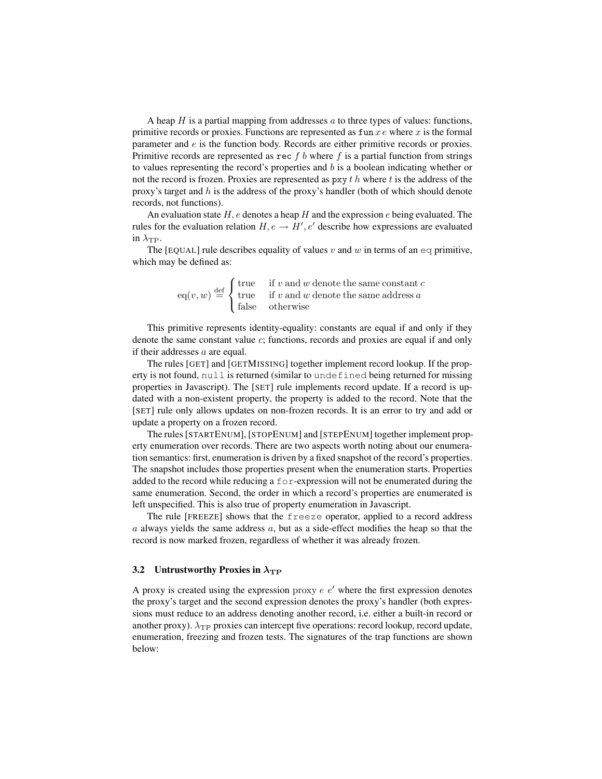A heap  $H$  is a partial mapping from addresses  $a$  to three types of values: functions, primitive records or proxies. Functions are represented as  $\text{fun } x \in \mathbb{R}$  where x is the formal parameter and e is the function body. Records are either primitive records or proxies. Primitive records are represented as rec  $f$  b where  $f$  is a partial function from strings to values representing the record's properties and  $b$  is a boolean indicating whether or not the record is frozen. Proxies are represented as  $pxy t h$  where t is the address of the proxy's target and  $h$  is the address of the proxy's handler (both of which should denote records, not functions).

An evaluation state  $H$ , e denotes a heap H and the expression e being evaluated. The rules for the evaluation relation  $H, e \rightarrow H', e'$  describe how expressions are evaluated in  $\lambda_{\text{TP}}$ .

The [EQUAL] rule describes equality of values v and w in terms of an  $\epsilon q$  primitive, which may be defined as:

|  | $eq(v, w) \stackrel{\text{def}}{=} \begin{cases} \text{true} & \text{if } v \text{ and } w \text{ denote the same constant } c \\ \text{true} & \text{if } v \text{ and } w \text{ denote the same address } a \end{cases}$ |
|--|-----------------------------------------------------------------------------------------------------------------------------------------------------------------------------------------------------------------------------|
|  |                                                                                                                                                                                                                             |
|  | [false otherwise]                                                                                                                                                                                                           |

This primitive represents identity-equality: constants are equal if and only if they denote the same constant value c; functions, records and proxies are equal if and only if their addresses  $a$  are equal.

The rules [GET] and [GETMISSING] together implement record lookup. If the property is not found, null is returned (similar to undefined being returned for missing properties in Javascript). The [SET] rule implements record update. If a record is updated with a non-existent property, the property is added to the record. Note that the [SET] rule only allows updates on non-frozen records. It is an error to try and add or update a property on a frozen record.

The rules [STARTENUM], [STOPENUM] and [STEPENUM] together implement property enumeration over records. There are two aspects worth noting about our enumeration semantics: first, enumeration is driven by a fixed snapshot of the record's properties. The snapshot includes those properties present when the enumeration starts. Properties added to the record while reducing a for-expression will not be enumerated during the same enumeration. Second, the order in which a record's properties are enumerated is left unspecified. This is also true of property enumeration in Javascript.

The rule [FREEZE] shows that the freeze operator, applied to a record address  $\alpha$  always yields the same address  $\alpha$ , but as a side-effect modifies the heap so that the record is now marked frozen, regardless of whether it was already frozen.

#### 3.2 Untrustworthy Proxies in  $\lambda_{\text{TP}}$

A proxy is created using the expression proxy  $e e'$  where the first expression denotes the proxy's target and the second expression denotes the proxy's handler (both expressions must reduce to an address denoting another record, i.e. either a built-in record or another proxy).  $\lambda_{\text{TP}}$  proxies can intercept five operations: record lookup, record update, enumeration, freezing and frozen tests. The signatures of the trap functions are shown below: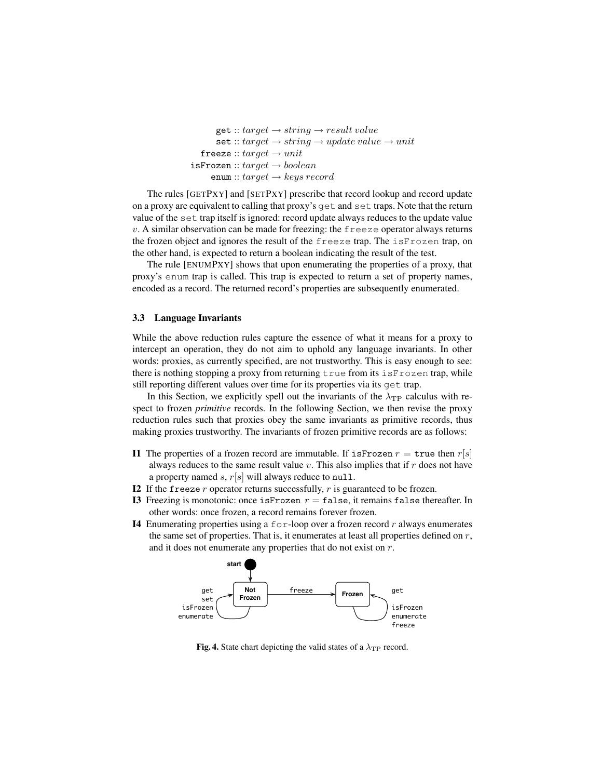```
get :: target \rightarrow string \rightarrow result value\texttt{set} :: target \rightarrow string \rightarrow update value \rightarrow unitfreeze :: target \rightarrow unitisFrozen :: target \rightarrow booleanenum :: target \rightarrow keys record
```
The rules [GETPXY] and [SETPXY] prescribe that record lookup and record update on a proxy are equivalent to calling that proxy's get and set traps. Note that the return value of the set trap itself is ignored: record update always reduces to the update value  $v$ . A similar observation can be made for freezing: the  $f$ reeze operator always returns the frozen object and ignores the result of the freeze trap. The isFrozen trap, on the other hand, is expected to return a boolean indicating the result of the test.

The rule [ENUMPXY] shows that upon enumerating the properties of a proxy, that proxy's enum trap is called. This trap is expected to return a set of property names, encoded as a record. The returned record's properties are subsequently enumerated.

#### 3.3 Language Invariants

While the above reduction rules capture the essence of what it means for a proxy to intercept an operation, they do not aim to uphold any language invariants. In other words: proxies, as currently specified, are not trustworthy. This is easy enough to see: there is nothing stopping a proxy from returning true from its isFrozen trap, while still reporting different values over time for its properties via its get trap.

In this Section, we explicitly spell out the invariants of the  $\lambda_{\text{TP}}$  calculus with respect to frozen *primitive* records. In the following Section, we then revise the proxy reduction rules such that proxies obey the same invariants as primitive records, thus making proxies trustworthy. The invariants of frozen primitive records are as follows:

- I1 The properties of a frozen record are immutable. If is Frozen  $r = \text{true}$  then  $r[s]$ always reduces to the same result value  $v$ . This also implies that if  $r$  does not have a property named s,  $r[s]$  will always reduce to null.
- I2 If the freeze  $r$  operator returns successfully,  $r$  is guaranteed to be frozen.
- I3 Freezing is monotonic: once is Frozen  $r = \text{false}$ , it remains false thereafter. In other words: once frozen, a record remains forever frozen.
- I4 Enumerating properties using a  $f \circ r$ -loop over a frozen record r always enumerates the same set of properties. That is, it enumerates at least all properties defined on  $r$ , and it does not enumerate any properties that do not exist on r.



Fig. 4. State chart depicting the valid states of a  $\lambda_{\text{TP}}$  record.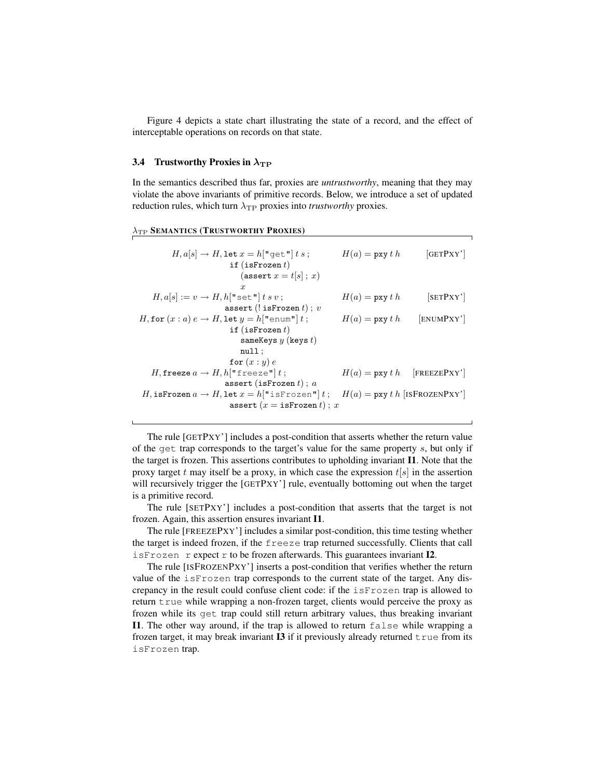Figure 4 depicts a state chart illustrating the state of a record, and the effect of interceptable operations on records on that state.

#### 3.4 Trustworthy Proxies in  $\lambda_{\text{TP}}$

In the semantics described thus far, proxies are *untrustworthy*, meaning that they may violate the above invariants of primitive records. Below, we introduce a set of updated reduction rules, which turn  $\lambda_{\text{TP}}$  proxies into *trustworthy* proxies.

## $\lambda_{\mathrm{TP}}$  SEMANTICS (TRUSTWORTHY PROXIES)

| $H, a[s] \rightarrow H$ , let $x = h$ ["get"] t s;<br>if $(i$ sFrozen $t$ ) | $H(a) = pxy \, t \, h$                   | [GETPXY'] |
|-----------------------------------------------------------------------------|------------------------------------------|-----------|
| (assert $x = t[s]$ ; x)                                                     |                                          |           |
| $\boldsymbol{x}$                                                            |                                          |           |
| $H, a[s] := v \rightarrow H, h$  "set" tsv;                                 | $H(a) = pxy \, t \, h$                   | [SETPXY'] |
| assert $(!$ is Frozen $t)$ ; $v$                                            |                                          |           |
| $H,$ for $(x : a) e \rightarrow H,$ let $y = h$ ["enum"] $t$ ;              | $H(a) = pxy \, t \, h$ [ENUMPXY']        |           |
| if $($ isFrozen $t)$                                                        |                                          |           |
| sameKeys $y$ (keys $t$ )                                                    |                                          |           |
| null:                                                                       |                                          |           |
| for $(x:y)$ e                                                               |                                          |           |
| H, freeze $a \to H$ , $h$ ["freeze"] t;                                     | $H(a) = \text{pxy } t \, h$ [FREEZEPXY'] |           |
| assert (is Frozen $t$ ); $a$                                                |                                          |           |
| H, is Frozen $a \to H$ , let $x = h$ "is Frozen" $t$ ;                      | $H(a) = pxy t h$ [ISFROZENPXY']          |           |
| assert $(x = \text{isFrozen } t)$ ; x                                       |                                          |           |

The rule [GETPXY'] includes a post-condition that asserts whether the return value of the get trap corresponds to the target's value for the same property  $s$ , but only if the target is frozen. This assertions contributes to upholding invariant I1. Note that the proxy target t may itself be a proxy, in which case the expression  $t[s]$  in the assertion will recursively trigger the [GETPXY'] rule, eventually bottoming out when the target is a primitive record.

The rule [SETPXY'] includes a post-condition that asserts that the target is not frozen. Again, this assertion ensures invariant I1.

The rule [FREEZEPXY'] includes a similar post-condition, this time testing whether the target is indeed frozen, if the freeze trap returned successfully. Clients that call is Frozen r expect r to be frozen afterwards. This guarantees invariant  $I2$ .

The rule [ISFROZENPXY'] inserts a post-condition that verifies whether the return value of the isFrozen trap corresponds to the current state of the target. Any discrepancy in the result could confuse client code: if the isFrozen trap is allowed to return  $true$  while wrapping a non-frozen target, clients would perceive the proxy as frozen while its get trap could still return arbitrary values, thus breaking invariant I1. The other way around, if the trap is allowed to return false while wrapping a frozen target, it may break invariant  $I3$  if it previously already returned  $true$  from its isFrozen trap.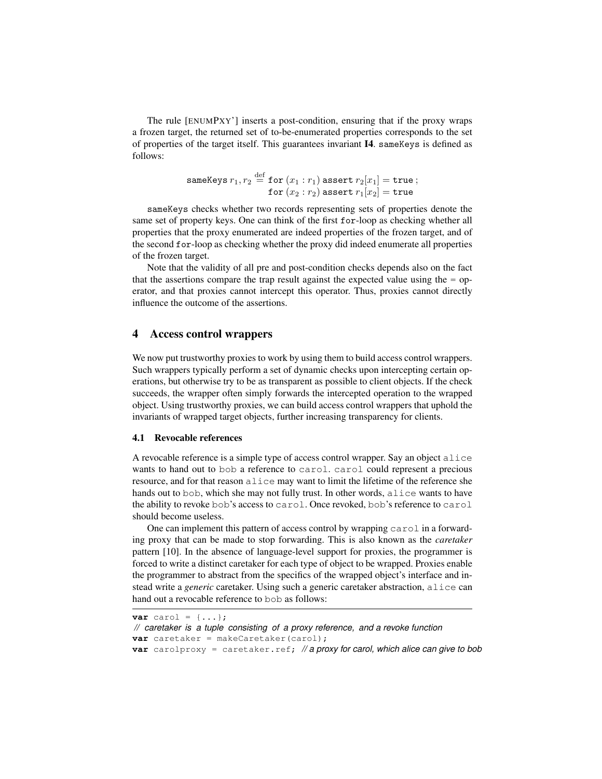The rule [ENUMPXY'] inserts a post-condition, ensuring that if the proxy wraps a frozen target, the returned set of to-be-enumerated properties corresponds to the set of properties of the target itself. This guarantees invariant I4. sameKeys is defined as follows:

> sameKeys  $r_1, r_2 \stackrel{\rm def}{=} {\tt for}\ (x_1:r_1)$  assert  $r_2[x_1]={\tt true}$  ; for  $\left(x_{2}:r_{2}\right)$  assert  $r_{1}[x_{2}]=$  true

sameKeys checks whether two records representing sets of properties denote the same set of property keys. One can think of the first for-loop as checking whether all properties that the proxy enumerated are indeed properties of the frozen target, and of the second for-loop as checking whether the proxy did indeed enumerate all properties of the frozen target.

Note that the validity of all pre and post-condition checks depends also on the fact that the assertions compare the trap result against the expected value using the  $=$  operator, and that proxies cannot intercept this operator. Thus, proxies cannot directly influence the outcome of the assertions.

#### 4 Access control wrappers

We now put trustworthy proxies to work by using them to build access control wrappers. Such wrappers typically perform a set of dynamic checks upon intercepting certain operations, but otherwise try to be as transparent as possible to client objects. If the check succeeds, the wrapper often simply forwards the intercepted operation to the wrapped object. Using trustworthy proxies, we can build access control wrappers that uphold the invariants of wrapped target objects, further increasing transparency for clients.

#### 4.1 Revocable references

A revocable reference is a simple type of access control wrapper. Say an object alice wants to hand out to bob a reference to carol. carol could represent a precious resource, and for that reason alice may want to limit the lifetime of the reference she hands out to bob, which she may not fully trust. In other words, alice wants to have the ability to revoke bob's access to carol. Once revoked, bob's reference to carol should become useless.

One can implement this pattern of access control by wrapping carol in a forwarding proxy that can be made to stop forwarding. This is also known as the *caretaker* pattern [10]. In the absence of language-level support for proxies, the programmer is forced to write a distinct caretaker for each type of object to be wrapped. Proxies enable the programmer to abstract from the specifics of the wrapped object's interface and instead write a *generic* caretaker. Using such a generic caretaker abstraction, alice can hand out a revocable reference to bob as follows:

**var** carol =  $\{ \ldots \}$ ;

```
// caretaker is a tuple consisting of a proxy reference, and a revoke function
var caretaker = makeCaretaker(carol);
var carolproxy = caretaker.ref; // a proxy for carol, which alice can give to bob
```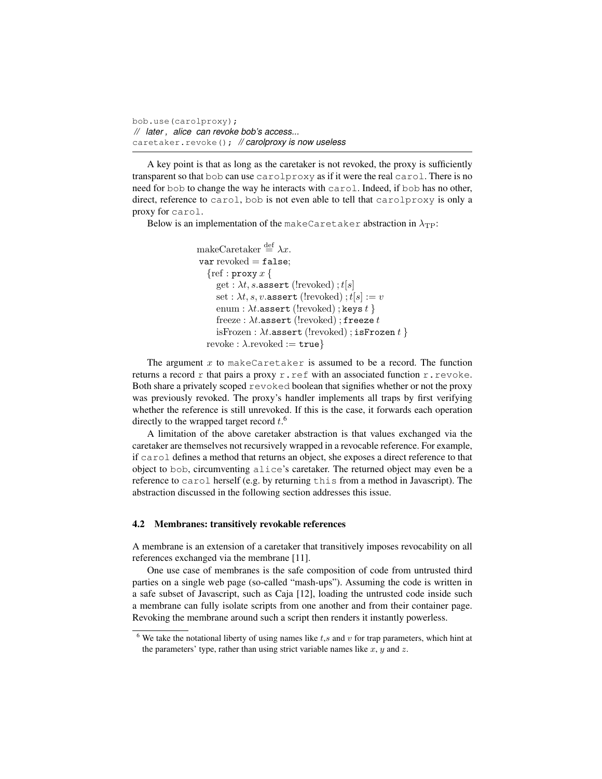bob.use(carolproxy); *// later , alice can revoke bob's access...* caretaker.revoke(); *// carolproxy is now useless*

A key point is that as long as the caretaker is not revoked, the proxy is sufficiently transparent so that bob can use carolproxy as if it were the real carol. There is no need for bob to change the way he interacts with carol. Indeed, if bob has no other, direct, reference to carol, bob is not even able to tell that carolproxy is only a proxy for carol.

Below is an implementation of the makeCaretaker abstraction in  $\lambda_{\mathrm{TP}}$ :

```
makeCaretaker \stackrel{\text{def}}{=} \lambda x.
var revoked = false;
   \{ref : \text{proxy } x\}get : \lambda t, s. assert (!revoked); t[s]set : \lambda t, s, v. assert (!revoked); t[s] := venum : \lambda t. assert (!revoked); keys t \}freeze : \lambda t assert (!revoked); freeze tisFrozen : \lambda t assert (!revoked) ; isFrozen t }
  revoke : \lambda.revoked := true}
```
The argument  $x$  to makeCaretaker is assumed to be a record. The function returns a record r that pairs a proxy  $r$ . ref with an associated function  $r$ . revoke. Both share a privately scoped revoked boolean that signifies whether or not the proxy was previously revoked. The proxy's handler implements all traps by first verifying whether the reference is still unrevoked. If this is the case, it forwards each operation directly to the wrapped target record  $t$ .<sup>6</sup>

A limitation of the above caretaker abstraction is that values exchanged via the caretaker are themselves not recursively wrapped in a revocable reference. For example, if carol defines a method that returns an object, she exposes a direct reference to that object to bob, circumventing alice's caretaker. The returned object may even be a reference to carol herself (e.g. by returning this from a method in Javascript). The abstraction discussed in the following section addresses this issue.

#### 4.2 Membranes: transitively revokable references

A membrane is an extension of a caretaker that transitively imposes revocability on all references exchanged via the membrane [11].

One use case of membranes is the safe composition of code from untrusted third parties on a single web page (so-called "mash-ups"). Assuming the code is written in a safe subset of Javascript, such as Caja [12], loading the untrusted code inside such a membrane can fully isolate scripts from one another and from their container page. Revoking the membrane around such a script then renders it instantly powerless.

 $6$  We take the notational liberty of using names like t,s and v for trap parameters, which hint at the parameters' type, rather than using strict variable names like  $x$ ,  $y$  and  $z$ .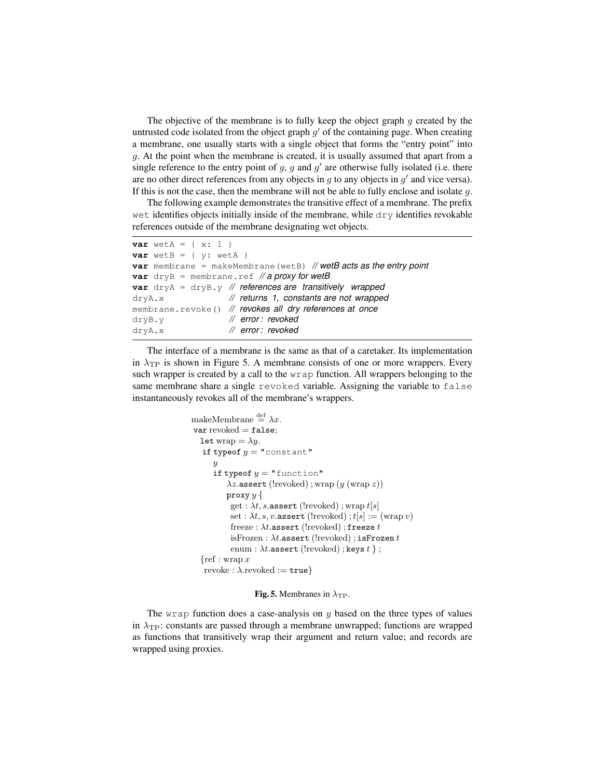The objective of the membrane is to fully keep the object graph  $q$  created by the untrusted code isolated from the object graph  $g'$  of the containing page. When creating a membrane, one usually starts with a single object that forms the "entry point" into g. At the point when the membrane is created, it is usually assumed that apart from a single reference to the entry point of g, g and  $g'$  are otherwise fully isolated (i.e. there are no other direct references from any objects in  $g$  to any objects in  $g'$  and vice versa). If this is not the case, then the membrane will not be able to fully enclose and isolate q.

The following example demonstrates the transitive effect of a membrane. The prefix wet identifies objects initially inside of the membrane, while dry identifies revokable references outside of the membrane designating wet objects.

```
var wetA = {x: 1}
var wetB = { y: wetA }
var membrane = makeMembrane(wetB) // wetB acts as the entry point
var dryB = membrane.ref // a proxy for wetB
var dryA = dryB.y // references are transitively wrapped
dryA.x // returns 1, constants are not wrapped
membrane.revoke() // revokes all dry references at once
dryB.y // error : revoked
dryA.x // error : revoked
```
The interface of a membrane is the same as that of a caretaker. Its implementation in  $\lambda_{\text{TP}}$  is shown in Figure 5. A membrane consists of one or more wrappers. Every such wrapper is created by a call to the wrap function. All wrappers belonging to the same membrane share a single revoked variable. Assigning the variable to false instantaneously revokes all of the membrane's wrappers.

```
makeMembrane \stackrel{\text{def}}{=} \lambda x.
var revoked = false;
  let wrap = \lambda y.
   if typeof y = "constant"
       \boldsymbol{y}if typeof y = "function"\lambda z.assert (!revoked); wrap (y \text{ (wrap } z))proxy y \}get : \lambda t, s. assert (!revoked); wrap t[s]set : \lambda t, s, v. assert (!revoked); t[s] := (w \text{rap } v)freeze : \lambda t assert (!revoked); freeze t
             isFrozen : \lambda t. assert (!revoked); isFrozen t
             enum : \lambda t assert (!revoked); keys t };
   \{ref : \text{wrap } x\}revoke : \lambdarevoked := true}
```
Fig. 5. Membranes in  $\lambda_{\rm TP}$ .

The wrap function does a case-analysis on  $y$  based on the three types of values in  $\lambda_{\text{TP}}$ : constants are passed through a membrane unwrapped; functions are wrapped as functions that transitively wrap their argument and return value; and records are wrapped using proxies.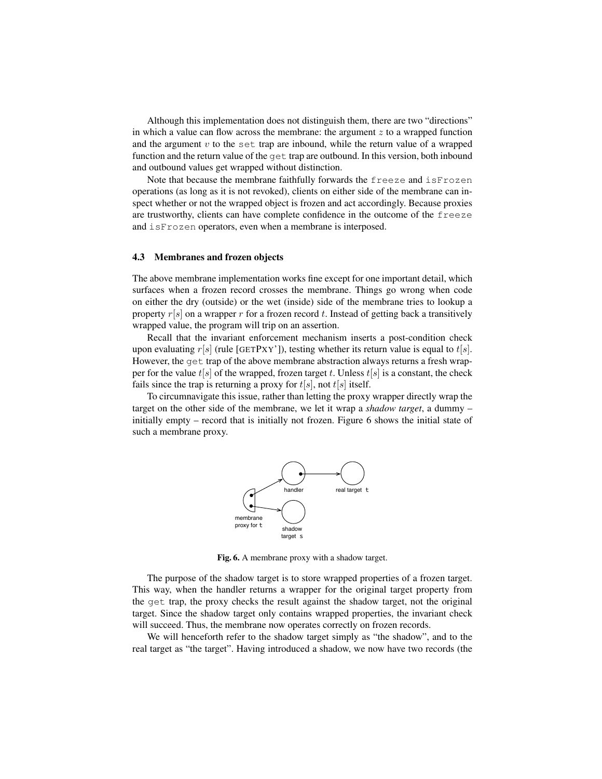Although this implementation does not distinguish them, there are two "directions" in which a value can flow across the membrane: the argument  $z$  to a wrapped function and the argument  $v$  to the set trap are inbound, while the return value of a wrapped function and the return value of the get trap are outbound. In this version, both inbound and outbound values get wrapped without distinction.

Note that because the membrane faithfully forwards the freeze and isFrozen operations (as long as it is not revoked), clients on either side of the membrane can inspect whether or not the wrapped object is frozen and act accordingly. Because proxies are trustworthy, clients can have complete confidence in the outcome of the freeze and isFrozen operators, even when a membrane is interposed.

#### 4.3 Membranes and frozen objects

The above membrane implementation works fine except for one important detail, which surfaces when a frozen record crosses the membrane. Things go wrong when code on either the dry (outside) or the wet (inside) side of the membrane tries to lookup a property  $r[s]$  on a wrapper r for a frozen record t. Instead of getting back a transitively wrapped value, the program will trip on an assertion.

Recall that the invariant enforcement mechanism inserts a post-condition check upon evaluating r[s] (rule [GETPXY']), testing whether its return value is equal to  $t[s]$ . However, the get trap of the above membrane abstraction always returns a fresh wrapper for the value  $t[s]$  of the wrapped, frozen target t. Unless  $t[s]$  is a constant, the check fails since the trap is returning a proxy for  $t[s]$ , not  $t[s]$  itself.

To circumnavigate this issue, rather than letting the proxy wrapper directly wrap the target on the other side of the membrane, we let it wrap a *shadow target*, a dummy – initially empty – record that is initially not frozen. Figure 6 shows the initial state of such a membrane proxy.



Fig. 6. A membrane proxy with a shadow target.

The purpose of the shadow target is to store wrapped properties of a frozen target. This way, when the handler returns a wrapper for the original target property from the get trap, the proxy checks the result against the shadow target, not the original target. Since the shadow target only contains wrapped properties, the invariant check will succeed. Thus, the membrane now operates correctly on frozen records.

We will henceforth refer to the shadow target simply as "the shadow", and to the real target as "the target". Having introduced a shadow, we now have two records (the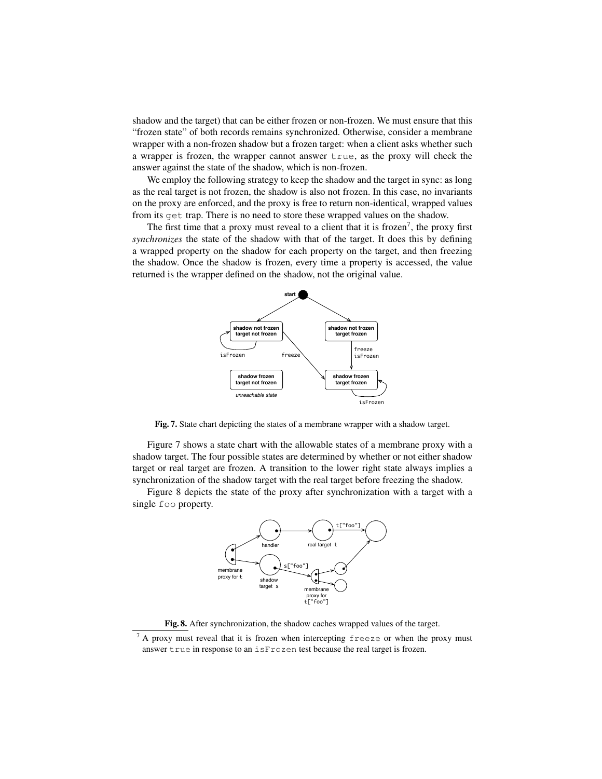shadow and the target) that can be either frozen or non-frozen. We must ensure that this "frozen state" of both records remains synchronized. Otherwise, consider a membrane wrapper with a non-frozen shadow but a frozen target: when a client asks whether such a wrapper is frozen, the wrapper cannot answer true, as the proxy will check the answer against the state of the shadow, which is non-frozen.

We employ the following strategy to keep the shadow and the target in sync: as long as the real target is not frozen, the shadow is also not frozen. In this case, no invariants on the proxy are enforced, and the proxy is free to return non-identical, wrapped values from its get trap. There is no need to store these wrapped values on the shadow.

The first time that a proxy must reveal to a client that it is frozen<sup>7</sup>, the proxy first *synchronizes* the state of the shadow with that of the target. It does this by defining a wrapped property on the shadow for each property on the target, and then freezing the shadow. Once the shadow is frozen, every time a property is accessed, the value returned is the wrapper defined on the shadow, not the original value.



Fig. 7. State chart depicting the states of a membrane wrapper with a shadow target.

Figure 7 shows a state chart with the allowable states of a membrane proxy with a shadow target. The four possible states are determined by whether or not either shadow target or real target are frozen. A transition to the lower right state always implies a synchronization of the shadow target with the real target before freezing the shadow.

Figure 8 depicts the state of the proxy after synchronization with a target with a single foo property.



Fig. 8. After synchronization, the shadow caches wrapped values of the target.

 $<sup>7</sup>$  A proxy must reveal that it is frozen when intercepting freeze or when the proxy must</sup> answer true in response to an isFrozen test because the real target is frozen.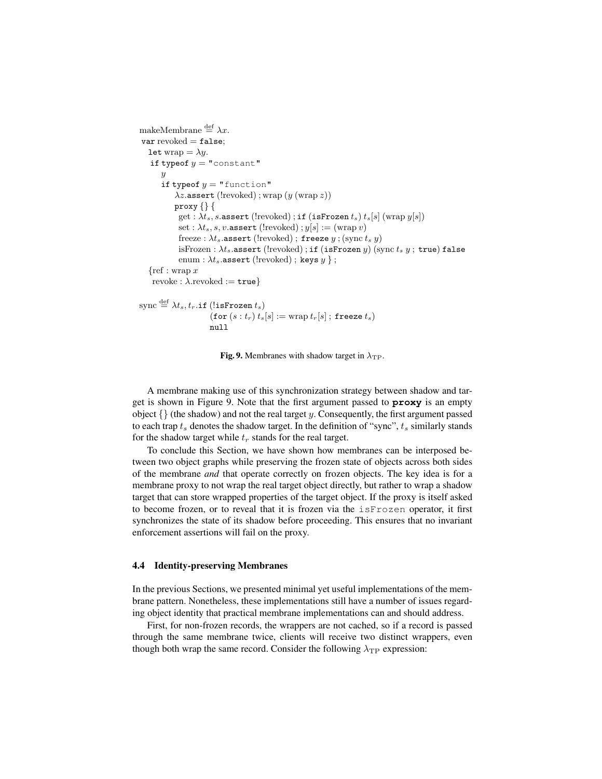```
makeMembrane \stackrel{\text{def}}{=} \lambda x.
var revoked = false;
  let wrap = \lambda y.
   if typeof y = "constant"\boldsymbol{y}if typeof y = "function"\lambda z.assert (!revoked); wrap (y \text{ (wrap } z))proxy \{\}\get : \lambda t_s, s.assert (!revoked); if (isFrozen t_s) t_s[s] (wrap y[s])
             set : \lambda t_s, s, v.assert (!revoked) ; y[s] := (w \cap v)freeze : \lambda t_s. assert (!revoked); freeze y; (sync t_s y)
             isFrozen : \lambda t_s.assert (!revoked); if (isFrozen y) (sync t_s y; true) false
             enum : \lambda t_s.assert (!revoked); keys y };
   \{ref : wrap xrevoke : \lambda.revoked := true}
\mathrm{sync} \stackrel{\mathrm{def}}{=} \lambda t_s, t_r.\mathtt{if} \ (\texttt{lisFrozen}\ t_s)
```

```
(for (s : t_r) t_s[s] := wrap t_r[s]; freeze t_s)
null
```
Fig. 9. Membranes with shadow target in  $\lambda_{\text{TP}}$ .

A membrane making use of this synchronization strategy between shadow and target is shown in Figure 9. Note that the first argument passed to **proxy** is an empty object  $\{\}$  (the shadow) and not the real target y. Consequently, the first argument passed to each trap  $t_s$  denotes the shadow target. In the definition of "sync",  $t_s$  similarly stands for the shadow target while  $t_r$  stands for the real target.

To conclude this Section, we have shown how membranes can be interposed between two object graphs while preserving the frozen state of objects across both sides of the membrane *and* that operate correctly on frozen objects. The key idea is for a membrane proxy to not wrap the real target object directly, but rather to wrap a shadow target that can store wrapped properties of the target object. If the proxy is itself asked to become frozen, or to reveal that it is frozen via the isFrozen operator, it first synchronizes the state of its shadow before proceeding. This ensures that no invariant enforcement assertions will fail on the proxy.

#### 4.4 Identity-preserving Membranes

In the previous Sections, we presented minimal yet useful implementations of the membrane pattern. Nonetheless, these implementations still have a number of issues regarding object identity that practical membrane implementations can and should address.

First, for non-frozen records, the wrappers are not cached, so if a record is passed through the same membrane twice, clients will receive two distinct wrappers, even though both wrap the same record. Consider the following  $\lambda_{\text{TP}}$  expression: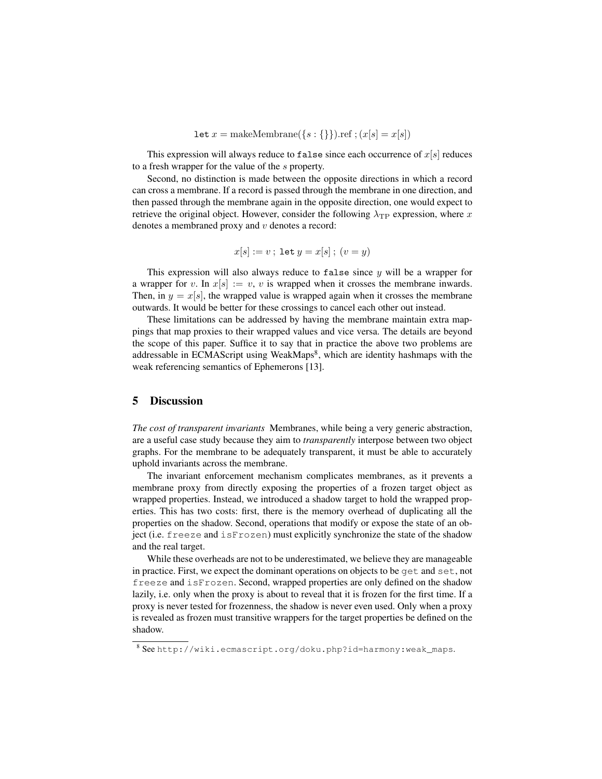let  $x = \text{makeMembrane}(\{s : \{\}\})$ .ref ;  $(x[s] = x[s])$ 

This expression will always reduce to false since each occurrence of  $x[s]$  reduces to a fresh wrapper for the value of the s property.

Second, no distinction is made between the opposite directions in which a record can cross a membrane. If a record is passed through the membrane in one direction, and then passed through the membrane again in the opposite direction, one would expect to retrieve the original object. However, consider the following  $\lambda_{\text{TP}}$  expression, where x denotes a membraned proxy and  $v$  denotes a record:

$$
x[s] := v
$$
; let  $y = x[s]$ ;  $(v = y)$ 

This expression will also always reduce to false since  $y$  will be a wrapper for a wrapper for v. In  $x[s] := v$ , v is wrapped when it crosses the membrane inwards. Then, in  $y = x[s]$ , the wrapped value is wrapped again when it crosses the membrane outwards. It would be better for these crossings to cancel each other out instead.

These limitations can be addressed by having the membrane maintain extra mappings that map proxies to their wrapped values and vice versa. The details are beyond the scope of this paper. Suffice it to say that in practice the above two problems are addressable in ECMAScript using WeakMaps<sup>8</sup>, which are identity hashmaps with the weak referencing semantics of Ephemerons [13].

## 5 Discussion

*The cost of transparent invariants* Membranes, while being a very generic abstraction, are a useful case study because they aim to *transparently* interpose between two object graphs. For the membrane to be adequately transparent, it must be able to accurately uphold invariants across the membrane.

The invariant enforcement mechanism complicates membranes, as it prevents a membrane proxy from directly exposing the properties of a frozen target object as wrapped properties. Instead, we introduced a shadow target to hold the wrapped properties. This has two costs: first, there is the memory overhead of duplicating all the properties on the shadow. Second, operations that modify or expose the state of an object (i.e. freeze and isFrozen) must explicitly synchronize the state of the shadow and the real target.

While these overheads are not to be underestimated, we believe they are manageable in practice. First, we expect the dominant operations on objects to be get and set, not freeze and isFrozen. Second, wrapped properties are only defined on the shadow lazily, i.e. only when the proxy is about to reveal that it is frozen for the first time. If a proxy is never tested for frozenness, the shadow is never even used. Only when a proxy is revealed as frozen must transitive wrappers for the target properties be defined on the shadow.

<sup>8</sup> See http://wiki.ecmascript.org/doku.php?id=harmony:weak\_maps.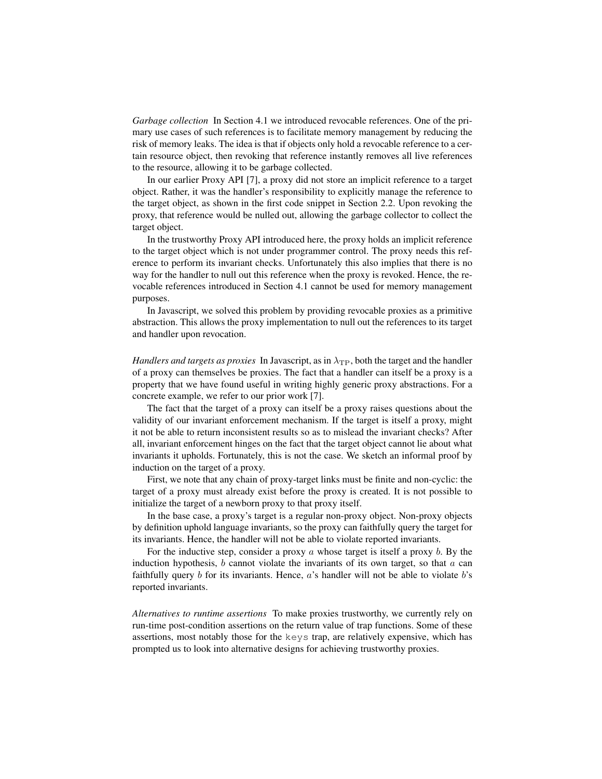*Garbage collection* In Section 4.1 we introduced revocable references. One of the primary use cases of such references is to facilitate memory management by reducing the risk of memory leaks. The idea is that if objects only hold a revocable reference to a certain resource object, then revoking that reference instantly removes all live references to the resource, allowing it to be garbage collected.

In our earlier Proxy API [7], a proxy did not store an implicit reference to a target object. Rather, it was the handler's responsibility to explicitly manage the reference to the target object, as shown in the first code snippet in Section 2.2. Upon revoking the proxy, that reference would be nulled out, allowing the garbage collector to collect the target object.

In the trustworthy Proxy API introduced here, the proxy holds an implicit reference to the target object which is not under programmer control. The proxy needs this reference to perform its invariant checks. Unfortunately this also implies that there is no way for the handler to null out this reference when the proxy is revoked. Hence, the revocable references introduced in Section 4.1 cannot be used for memory management purposes.

In Javascript, we solved this problem by providing revocable proxies as a primitive abstraction. This allows the proxy implementation to null out the references to its target and handler upon revocation.

*Handlers and targets as proxies* In Javascript, as in  $\lambda_{\text{TP}}$ , both the target and the handler of a proxy can themselves be proxies. The fact that a handler can itself be a proxy is a property that we have found useful in writing highly generic proxy abstractions. For a concrete example, we refer to our prior work [7].

The fact that the target of a proxy can itself be a proxy raises questions about the validity of our invariant enforcement mechanism. If the target is itself a proxy, might it not be able to return inconsistent results so as to mislead the invariant checks? After all, invariant enforcement hinges on the fact that the target object cannot lie about what invariants it upholds. Fortunately, this is not the case. We sketch an informal proof by induction on the target of a proxy.

First, we note that any chain of proxy-target links must be finite and non-cyclic: the target of a proxy must already exist before the proxy is created. It is not possible to initialize the target of a newborn proxy to that proxy itself.

In the base case, a proxy's target is a regular non-proxy object. Non-proxy objects by definition uphold language invariants, so the proxy can faithfully query the target for its invariants. Hence, the handler will not be able to violate reported invariants.

For the inductive step, consider a proxy  $a$  whose target is itself a proxy  $b$ . By the induction hypothesis,  $b$  cannot violate the invariants of its own target, so that  $a$  can faithfully query b for its invariants. Hence,  $a$ 's handler will not be able to violate b's reported invariants.

*Alternatives to runtime assertions* To make proxies trustworthy, we currently rely on run-time post-condition assertions on the return value of trap functions. Some of these assertions, most notably those for the keys trap, are relatively expensive, which has prompted us to look into alternative designs for achieving trustworthy proxies.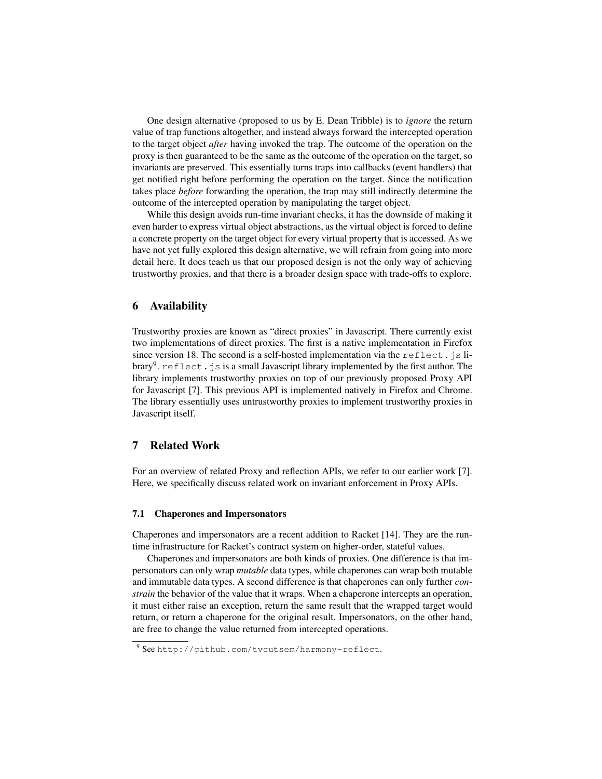One design alternative (proposed to us by E. Dean Tribble) is to *ignore* the return value of trap functions altogether, and instead always forward the intercepted operation to the target object *after* having invoked the trap. The outcome of the operation on the proxy is then guaranteed to be the same as the outcome of the operation on the target, so invariants are preserved. This essentially turns traps into callbacks (event handlers) that get notified right before performing the operation on the target. Since the notification takes place *before* forwarding the operation, the trap may still indirectly determine the outcome of the intercepted operation by manipulating the target object.

While this design avoids run-time invariant checks, it has the downside of making it even harder to express virtual object abstractions, as the virtual object is forced to define a concrete property on the target object for every virtual property that is accessed. As we have not yet fully explored this design alternative, we will refrain from going into more detail here. It does teach us that our proposed design is not the only way of achieving trustworthy proxies, and that there is a broader design space with trade-offs to explore.

## 6 Availability

Trustworthy proxies are known as "direct proxies" in Javascript. There currently exist two implementations of direct proxies. The first is a native implementation in Firefox since version 18. The second is a self-hosted implementation via the reflect.  $\dot{i}$ s library<sup>9</sup>. reflect. js is a small Javascript library implemented by the first author. The library implements trustworthy proxies on top of our previously proposed Proxy API for Javascript [7]. This previous API is implemented natively in Firefox and Chrome. The library essentially uses untrustworthy proxies to implement trustworthy proxies in Javascript itself.

# 7 Related Work

For an overview of related Proxy and reflection APIs, we refer to our earlier work [7]. Here, we specifically discuss related work on invariant enforcement in Proxy APIs.

#### 7.1 Chaperones and Impersonators

Chaperones and impersonators are a recent addition to Racket [14]. They are the runtime infrastructure for Racket's contract system on higher-order, stateful values.

Chaperones and impersonators are both kinds of proxies. One difference is that impersonators can only wrap *mutable* data types, while chaperones can wrap both mutable and immutable data types. A second difference is that chaperones can only further *constrain* the behavior of the value that it wraps. When a chaperone intercepts an operation, it must either raise an exception, return the same result that the wrapped target would return, or return a chaperone for the original result. Impersonators, on the other hand, are free to change the value returned from intercepted operations.

<sup>&</sup>lt;sup>9</sup> See http://github.com/tvcutsem/harmony-reflect.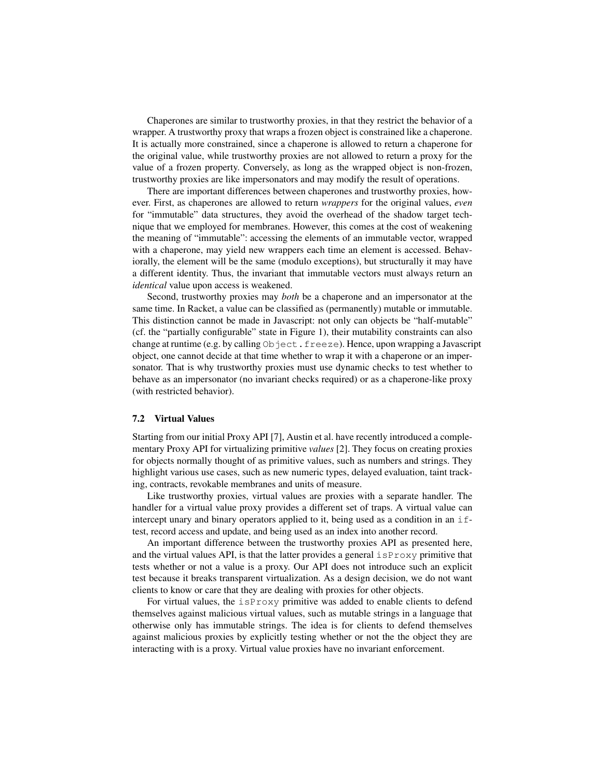Chaperones are similar to trustworthy proxies, in that they restrict the behavior of a wrapper. A trustworthy proxy that wraps a frozen object is constrained like a chaperone. It is actually more constrained, since a chaperone is allowed to return a chaperone for the original value, while trustworthy proxies are not allowed to return a proxy for the value of a frozen property. Conversely, as long as the wrapped object is non-frozen, trustworthy proxies are like impersonators and may modify the result of operations.

There are important differences between chaperones and trustworthy proxies, however. First, as chaperones are allowed to return *wrappers* for the original values, *even* for "immutable" data structures, they avoid the overhead of the shadow target technique that we employed for membranes. However, this comes at the cost of weakening the meaning of "immutable": accessing the elements of an immutable vector, wrapped with a chaperone, may yield new wrappers each time an element is accessed. Behaviorally, the element will be the same (modulo exceptions), but structurally it may have a different identity. Thus, the invariant that immutable vectors must always return an *identical* value upon access is weakened.

Second, trustworthy proxies may *both* be a chaperone and an impersonator at the same time. In Racket, a value can be classified as (permanently) mutable or immutable. This distinction cannot be made in Javascript: not only can objects be "half-mutable" (cf. the "partially configurable" state in Figure 1), their mutability constraints can also change at runtime (e.g. by calling  $\circ$ b ject.freeze). Hence, upon wrapping a Javascript object, one cannot decide at that time whether to wrap it with a chaperone or an impersonator. That is why trustworthy proxies must use dynamic checks to test whether to behave as an impersonator (no invariant checks required) or as a chaperone-like proxy (with restricted behavior).

#### 7.2 Virtual Values

Starting from our initial Proxy API [7], Austin et al. have recently introduced a complementary Proxy API for virtualizing primitive *values* [2]. They focus on creating proxies for objects normally thought of as primitive values, such as numbers and strings. They highlight various use cases, such as new numeric types, delayed evaluation, taint tracking, contracts, revokable membranes and units of measure.

Like trustworthy proxies, virtual values are proxies with a separate handler. The handler for a virtual value proxy provides a different set of traps. A virtual value can intercept unary and binary operators applied to it, being used as a condition in an iftest, record access and update, and being used as an index into another record.

An important difference between the trustworthy proxies API as presented here, and the virtual values API, is that the latter provides a general  $i$  sProxy primitive that tests whether or not a value is a proxy. Our API does not introduce such an explicit test because it breaks transparent virtualization. As a design decision, we do not want clients to know or care that they are dealing with proxies for other objects.

For virtual values, the isProxy primitive was added to enable clients to defend themselves against malicious virtual values, such as mutable strings in a language that otherwise only has immutable strings. The idea is for clients to defend themselves against malicious proxies by explicitly testing whether or not the the object they are interacting with is a proxy. Virtual value proxies have no invariant enforcement.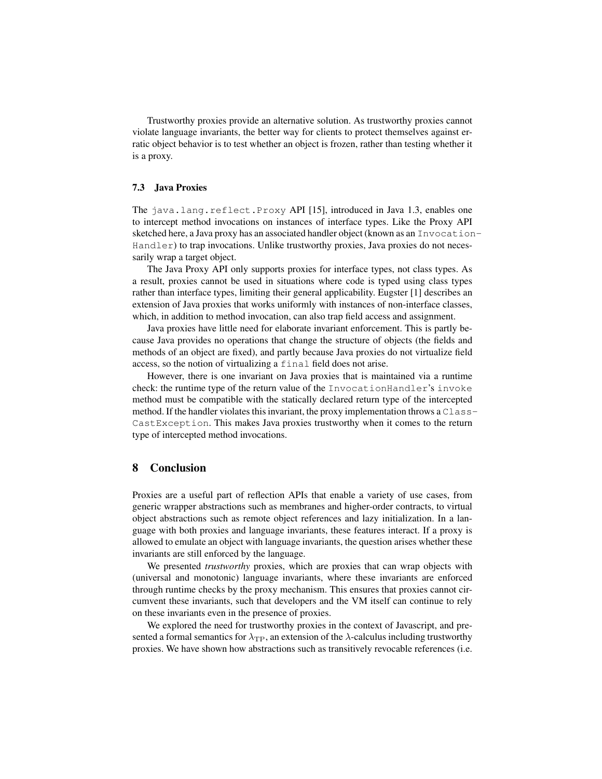Trustworthy proxies provide an alternative solution. As trustworthy proxies cannot violate language invariants, the better way for clients to protect themselves against erratic object behavior is to test whether an object is frozen, rather than testing whether it is a proxy.

#### 7.3 Java Proxies

The java.lang.reflect.Proxy API [15], introduced in Java 1.3, enables one to intercept method invocations on instances of interface types. Like the Proxy API sketched here, a Java proxy has an associated handler object (known as an Invocation-Handler) to trap invocations. Unlike trustworthy proxies, Java proxies do not necessarily wrap a target object.

The Java Proxy API only supports proxies for interface types, not class types. As a result, proxies cannot be used in situations where code is typed using class types rather than interface types, limiting their general applicability. Eugster [1] describes an extension of Java proxies that works uniformly with instances of non-interface classes, which, in addition to method invocation, can also trap field access and assignment.

Java proxies have little need for elaborate invariant enforcement. This is partly because Java provides no operations that change the structure of objects (the fields and methods of an object are fixed), and partly because Java proxies do not virtualize field access, so the notion of virtualizing a final field does not arise.

However, there is one invariant on Java proxies that is maintained via a runtime check: the runtime type of the return value of the InvocationHandler's invoke method must be compatible with the statically declared return type of the intercepted method. If the handler violates this invariant, the proxy implementation throws a  $\text{Class}-$ CastException. This makes Java proxies trustworthy when it comes to the return type of intercepted method invocations.

## 8 Conclusion

Proxies are a useful part of reflection APIs that enable a variety of use cases, from generic wrapper abstractions such as membranes and higher-order contracts, to virtual object abstractions such as remote object references and lazy initialization. In a language with both proxies and language invariants, these features interact. If a proxy is allowed to emulate an object with language invariants, the question arises whether these invariants are still enforced by the language.

We presented *trustworthy* proxies, which are proxies that can wrap objects with (universal and monotonic) language invariants, where these invariants are enforced through runtime checks by the proxy mechanism. This ensures that proxies cannot circumvent these invariants, such that developers and the VM itself can continue to rely on these invariants even in the presence of proxies.

We explored the need for trustworthy proxies in the context of Javascript, and presented a formal semantics for  $\lambda_{\text{TP}}$ , an extension of the  $\lambda$ -calculus including trustworthy proxies. We have shown how abstractions such as transitively revocable references (i.e.